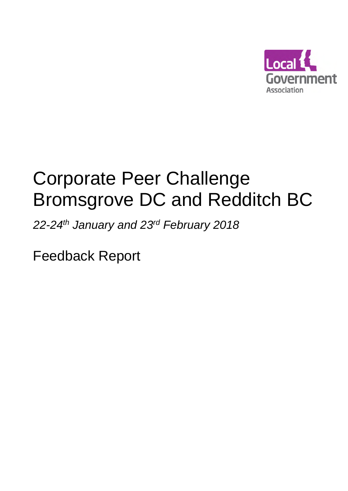

# Corporate Peer Challenge Bromsgrove DC and Redditch BC

*22-24th January and 23rd February 2018*

Feedback Report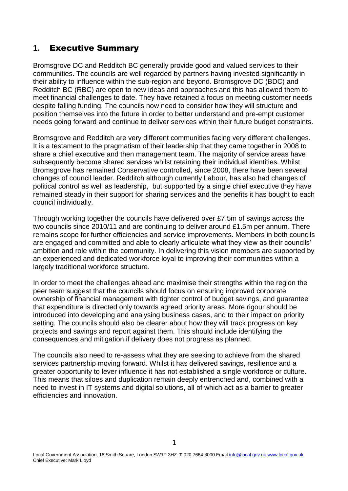# **1.** Executive Summary

Bromsgrove DC and Redditch BC generally provide good and valued services to their communities. The councils are well regarded by partners having invested significantly in their ability to influence within the sub-region and beyond. Bromsgrove DC (BDC) and Redditch BC (RBC) are open to new ideas and approaches and this has allowed them to meet financial challenges to date. They have retained a focus on meeting customer needs despite falling funding. The councils now need to consider how they will structure and position themselves into the future in order to better understand and pre-empt customer needs going forward and continue to deliver services within their future budget constraints.

Bromsgrove and Redditch are very different communities facing very different challenges. It is a testament to the pragmatism of their leadership that they came together in 2008 to share a chief executive and then management team. The majority of service areas have subsequently become shared services whilst retaining their individual identities. Whilst Bromsgrove has remained Conservative controlled, since 2008, there have been several changes of council leader. Redditch although currently Labour, has also had changes of political control as well as leadership, but supported by a single chief executive they have remained steady in their support for sharing services and the benefits it has bought to each council individually.

Through working together the councils have delivered over £7.5m of savings across the two councils since 2010/11 and are continuing to deliver around £1.5m per annum. There remains scope for further efficiencies and service improvements. Members in both councils are engaged and committed and able to clearly articulate what they view as their councils' ambition and role within the community. In delivering this vision members are supported by an experienced and dedicated workforce loyal to improving their communities within a largely traditional workforce structure.

In order to meet the challenges ahead and maximise their strengths within the region the peer team suggest that the councils should focus on ensuring improved corporate ownership of financial management with tighter control of budget savings, and guarantee that expenditure is directed only towards agreed priority areas. More rigour should be introduced into developing and analysing business cases, and to their impact on priority setting. The councils should also be clearer about how they will track progress on key projects and savings and report against them. This should include identifying the consequences and mitigation if delivery does not progress as planned.

The councils also need to re-assess what they are seeking to achieve from the shared services partnership moving forward. Whilst it has delivered savings, resilience and a greater opportunity to lever influence it has not established a single workforce or culture. This means that siloes and duplication remain deeply entrenched and, combined with a need to invest in IT systems and digital solutions, all of which act as a barrier to greater efficiencies and innovation.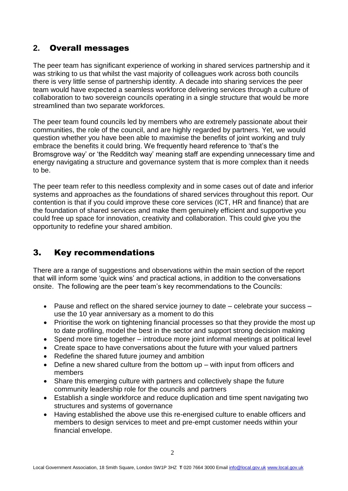# **2.** Overall messages

The peer team has significant experience of working in shared services partnership and it was striking to us that whilst the vast majority of colleagues work across both councils there is very little sense of partnership identity. A decade into sharing services the peer team would have expected a seamless workforce delivering services through a culture of collaboration to two sovereign councils operating in a single structure that would be more streamlined than two separate workforces.

The peer team found councils led by members who are extremely passionate about their communities, the role of the council, and are highly regarded by partners. Yet, we would question whether you have been able to maximise the benefits of joint working and truly embrace the benefits it could bring. We frequently heard reference to 'that's the Bromsgrove way' or 'the Redditch way' meaning staff are expending unnecessary time and energy navigating a structure and governance system that is more complex than it needs to be.

The peer team refer to this needless complexity and in some cases out of date and inferior systems and approaches as the foundations of shared services throughout this report. Our contention is that if you could improve these core services (ICT, HR and finance) that are the foundation of shared services and make them genuinely efficient and supportive you could free up space for innovation, creativity and collaboration. This could give you the opportunity to redefine your shared ambition.

# 3. Key recommendations

There are a range of suggestions and observations within the main section of the report that will inform some 'quick wins' and practical actions, in addition to the conversations onsite. The following are the peer team's key recommendations to the Councils:

- Pause and reflect on the shared service journey to date celebrate your success use the 10 year anniversary as a moment to do this
- Prioritise the work on tightening financial processes so that they provide the most up to date profiling, model the best in the sector and support strong decision making
- Spend more time together introduce more joint informal meetings at political level
- Create space to have conversations about the future with your valued partners
- Redefine the shared future journey and ambition
- Define a new shared culture from the bottom up with input from officers and members
- Share this emerging culture with partners and collectively shape the future community leadership role for the councils and partners
- Establish a single workforce and reduce duplication and time spent navigating two structures and systems of governance
- Having established the above use this re-energised culture to enable officers and members to design services to meet and pre-empt customer needs within your financial envelope.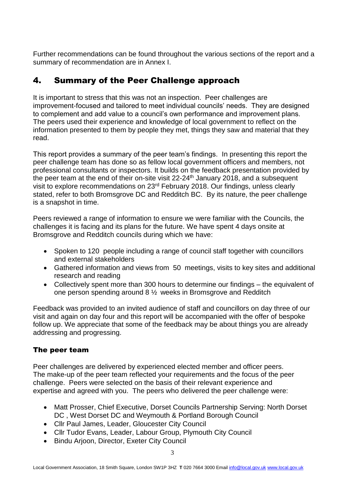Further recommendations can be found throughout the various sections of the report and a summary of recommendation are in Annex I.

# 4. Summary of the Peer Challenge approach

It is important to stress that this was not an inspection. Peer challenges are improvement-focused and tailored to meet individual councils' needs. They are designed to complement and add value to a council's own performance and improvement plans. The peers used their experience and knowledge of local government to reflect on the information presented to them by people they met, things they saw and material that they read.

This report provides a summary of the peer team's findings. In presenting this report the peer challenge team has done so as fellow local government officers and members, not professional consultants or inspectors. It builds on the feedback presentation provided by the peer team at the end of their on-site visit 22-24<sup>th</sup> January 2018, and a subsequent visit to explore recommendations on 23rd February 2018. Our findings, unless clearly stated, refer to both Bromsgrove DC and Redditch BC. By its nature, the peer challenge is a snapshot in time.

Peers reviewed a range of information to ensure we were familiar with the Councils, the challenges it is facing and its plans for the future. We have spent 4 days onsite at Bromsgrove and Redditch councils during which we have:

- Spoken to 120 people including a range of council staff together with councillors and external stakeholders
- Gathered information and views from 50 meetings, visits to key sites and additional research and reading
- Collectively spent more than 300 hours to determine our findings the equivalent of one person spending around 8 ½ weeks in Bromsgrove and Redditch

Feedback was provided to an invited audience of staff and councillors on day three of our visit and again on day four and this report will be accompanied with the offer of bespoke follow up. We appreciate that some of the feedback may be about things you are already addressing and progressing.

## The peer team

Peer challenges are delivered by experienced elected member and officer peers. The make-up of the peer team reflected your requirements and the focus of the peer challenge. Peers were selected on the basis of their relevant experience and expertise and agreed with you. The peers who delivered the peer challenge were:

- Matt Prosser, Chief Executive, Dorset Councils Partnership Serving: North Dorset DC , West Dorset DC and Weymouth & Portland Borough Council
- Cllr Paul James, Leader, Gloucester City Council
- Cllr Tudor Evans, Leader, Labour Group, Plymouth City Council
- Bindu Arjoon, Director, Exeter City Council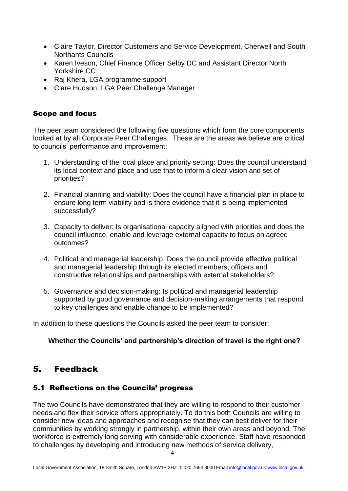- Claire Taylor, Director Customers and Service Development, Cherwell and South Northants Councils
- Karen Iveson, Chief Finance Officer Selby DC and Assistant Director North Yorkshire CC
- Raj Khera, LGA programme support
- Clare Hudson, LGA Peer Challenge Manager

## Scope and focus

The peer team considered the following five questions which form the core components looked at by all Corporate Peer Challenges. These are the areas we believe are critical to councils' performance and improvement:

- 1. Understanding of the local place and priority setting: Does the council understand its local context and place and use that to inform a clear vision and set of priorities?
- 2. Financial planning and viability: Does the council have a financial plan in place to ensure long term viability and is there evidence that it is being implemented successfully?
- 3. Capacity to deliver: Is organisational capacity aligned with priorities and does the council influence, enable and leverage external capacity to focus on agreed outcomes?
- 4. Political and managerial leadership: Does the council provide effective political and managerial leadership through its elected members, officers and constructive relationships and partnerships with external stakeholders?
- 5. Governance and decision-making: Is political and managerial leadership supported by good governance and decision-making arrangements that respond to key challenges and enable change to be implemented?

In addition to these questions the Councils asked the peer team to consider:

#### **Whether the Councils' and partnership's direction of travel is the right one?**

## 5. Feedback

## 5.1 Reflections on the Councils' progress

The two Councils have demonstrated that they are willing to respond to their customer needs and flex their service offers appropriately. To do this both Councils are willing to consider new ideas and approaches and recognise that they can best deliver for their communities by working strongly in partnership, within their own areas and beyond. The workforce is extremely long serving with considerable experience. Staff have responded to challenges by developing and introducing new methods of service delivery,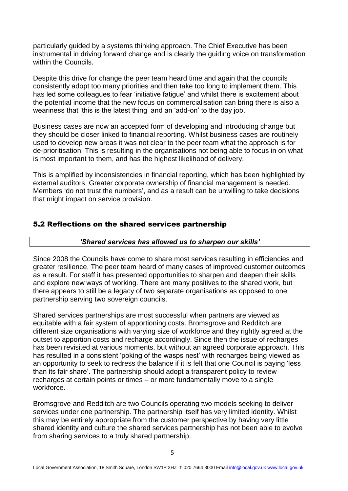particularly guided by a systems thinking approach. The Chief Executive has been instrumental in driving forward change and is clearly the guiding voice on transformation within the Councils.

Despite this drive for change the peer team heard time and again that the councils consistently adopt too many priorities and then take too long to implement them. This has led some colleagues to fear 'initiative fatigue' and whilst there is excitement about the potential income that the new focus on commercialisation can bring there is also a weariness that 'this is the latest thing' and an 'add-on' to the day job.

Business cases are now an accepted form of developing and introducing change but they should be closer linked to financial reporting. Whilst business cases are routinely used to develop new areas it was not clear to the peer team what the approach is for de-prioritisation. This is resulting in the organisations not being able to focus in on what is most important to them, and has the highest likelihood of delivery.

This is amplified by inconsistencies in financial reporting, which has been highlighted by external auditors. Greater corporate ownership of financial management is needed. Members 'do not trust the numbers', and as a result can be unwilling to take decisions that might impact on service provision.

#### 5.2 Reflections on the shared services partnership

#### *'Shared services has allowed us to sharpen our skills'*

Since 2008 the Councils have come to share most services resulting in efficiencies and greater resilience. The peer team heard of many cases of improved customer outcomes as a result. For staff it has presented opportunities to sharpen and deepen their skills and explore new ways of working. There are many positives to the shared work, but there appears to still be a legacy of two separate organisations as opposed to one partnership serving two sovereign councils.

Shared services partnerships are most successful when partners are viewed as equitable with a fair system of apportioning costs. Bromsgrove and Redditch are different size organisations with varying size of workforce and they rightly agreed at the outset to apportion costs and recharge accordingly. Since then the issue of recharges has been revisited at various moments, but without an agreed corporate approach. This has resulted in a consistent 'poking of the wasps nest' with recharges being viewed as an opportunity to seek to redress the balance if it is felt that one Council is paying 'less than its fair share'. The partnership should adopt a transparent policy to review recharges at certain points or times – or more fundamentally move to a single workforce.

Bromsgrove and Redditch are two Councils operating two models seeking to deliver services under one partnership. The partnership itself has very limited identity. Whilst this may be entirely appropriate from the customer perspective by having very little shared identity and culture the shared services partnership has not been able to evolve from sharing services to a truly shared partnership.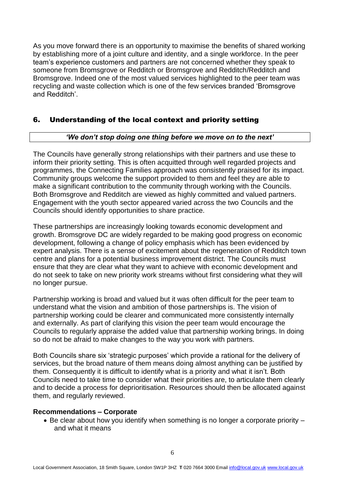As you move forward there is an opportunity to maximise the benefits of shared working by establishing more of a joint culture and identity, and a single workforce. In the peer team's experience customers and partners are not concerned whether they speak to someone from Bromsgrove or Redditch or Bromsgrove and Redditch/Redditch and Bromsgrove. Indeed one of the most valued services highlighted to the peer team was recycling and waste collection which is one of the few services branded 'Bromsgrove and Redditch'.

## 6. Understanding of the local context and priority setting

#### *'We don't stop doing one thing before we move on to the next'*

The Councils have generally strong relationships with their partners and use these to inform their priority setting. This is often acquitted through well regarded projects and programmes, the Connecting Families approach was consistently praised for its impact. Community groups welcome the support provided to them and feel they are able to make a significant contribution to the community through working with the Councils. Both Bromsgrove and Redditch are viewed as highly committed and valued partners. Engagement with the youth sector appeared varied across the two Councils and the Councils should identify opportunities to share practice.

These partnerships are increasingly looking towards economic development and growth. Bromsgrove DC are widely regarded to be making good progress on economic development, following a change of policy emphasis which has been evidenced by expert analysis. There is a sense of excitement about the regeneration of Redditch town centre and plans for a potential business improvement district. The Councils must ensure that they are clear what they want to achieve with economic development and do not seek to take on new priority work streams without first considering what they will no longer pursue.

Partnership working is broad and valued but it was often difficult for the peer team to understand what the vision and ambition of those partnerships is. The vision of partnership working could be clearer and communicated more consistently internally and externally. As part of clarifying this vision the peer team would encourage the Councils to regularly appraise the added value that partnership working brings. In doing so do not be afraid to make changes to the way you work with partners.

Both Councils share six 'strategic purposes' which provide a rational for the delivery of services, but the broad nature of them means doing almost anything can be justified by them. Consequently it is difficult to identify what is a priority and what it isn't. Both Councils need to take time to consider what their priorities are, to articulate them clearly and to decide a process for deprioritisation. Resources should then be allocated against them, and regularly reviewed.

#### **Recommendations – Corporate**

 $\bullet$  Be clear about how you identify when something is no longer a corporate priority  $$ and what it means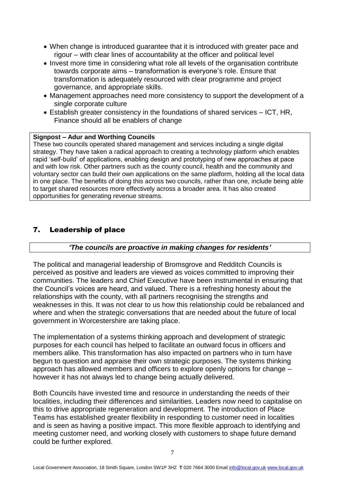- When change is introduced guarantee that it is introduced with greater pace and rigour – with clear lines of accountability at the officer and political level
- Invest more time in considering what role all levels of the organisation contribute towards corporate aims – transformation is everyone's role. Ensure that transformation is adequately resourced with clear programme and project governance, and appropriate skills.
- Management approaches need more consistency to support the development of a single corporate culture
- Establish greater consistency in the foundations of shared services ICT, HR, Finance should all be enablers of change

#### **Signpost – Adur and Worthing Councils**

These two councils operated shared management and services including a single digital strategy. They have taken a radical approach to creating a technology platform which enables rapid 'self-build' of applications, enabling design and prototyping of new approaches at pace and with low risk. Other partners such as the county council, health and the community and voluntary sector can build their own applications on the same platform, holding all the local data in one place. The benefits of doing this across two councils, rather than one, include being able to target shared resources more effectively across a broader area. It has also created opportunities for generating revenue streams.

## 7. Leadership of place

#### *'The councils are proactive in making changes for residents'*

The political and managerial leadership of Bromsgrove and Redditch Councils is perceived as positive and leaders are viewed as voices committed to improving their communities. The leaders and Chief Executive have been instrumental in ensuring that the Council's voices are heard, and valued. There is a refreshing honesty about the relationships with the county, with all partners recognising the strengths and weaknesses in this. It was not clear to us how this relationship could be rebalanced and where and when the strategic conversations that are needed about the future of local government in Worcestershire are taking place.

The implementation of a systems thinking approach and development of strategic purposes for each council has helped to facilitate an outward focus in officers and members alike. This transformation has also impacted on partners who in turn have begun to question and appraise their own strategic purposes. The systems thinking approach has allowed members and officers to explore openly options for change – however it has not always led to change being actually delivered.

Both Councils have invested time and resource in understanding the needs of their localities, including their differences and similarities. Leaders now need to capitalise on this to drive appropriate regeneration and development. The introduction of Place Teams has established greater flexibility in responding to customer need in localities and is seen as having a positive impact. This more flexible approach to identifying and meeting customer need, and working closely with customers to shape future demand could be further explored.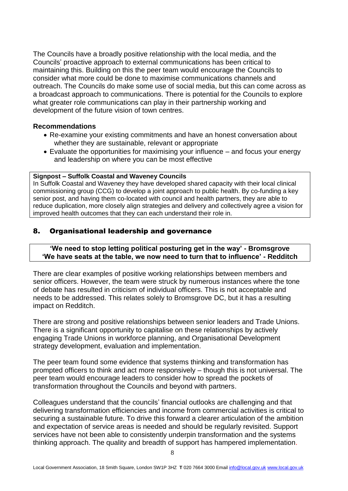The Councils have a broadly positive relationship with the local media, and the Councils' proactive approach to external communications has been critical to maintaining this. Building on this the peer team would encourage the Councils to consider what more could be done to maximise communications channels and outreach. The Councils do make some use of social media, but this can come across as a broadcast approach to communications. There is potential for the Councils to explore what greater role communications can play in their partnership working and development of the future vision of town centres.

#### **Recommendations**

- Re-examine your existing commitments and have an honest conversation about whether they are sustainable, relevant or appropriate
- Evaluate the opportunities for maximising your influence and focus your energy and leadership on where you can be most effective

#### **Signpost – Suffolk Coastal and Waveney Councils**

In Suffolk Coastal and Waveney they have developed shared capacity with their local clinical commissioning group (CCG) to develop a joint approach to public health. By co-funding a key senior post, and having them co-located with council and health partners, they are able to reduce duplication, more closely align strategies and delivery and collectively agree a vision for improved health outcomes that they can each understand their role in.

## 8. Organisational leadership and governance

#### **'We need to stop letting political posturing get in the way' - Bromsgrove 'We have seats at the table, we now need to turn that to influence' - Redditch**

There are clear examples of positive working relationships between members and senior officers. However, the team were struck by numerous instances where the tone of debate has resulted in criticism of individual officers. This is not acceptable and needs to be addressed. This relates solely to Bromsgrove DC, but it has a resulting impact on Redditch.

There are strong and positive relationships between senior leaders and Trade Unions. There is a significant opportunity to capitalise on these relationships by actively engaging Trade Unions in workforce planning, and Organisational Development strategy development, evaluation and implementation.

The peer team found some evidence that systems thinking and transformation has prompted officers to think and act more responsively – though this is not universal. The peer team would encourage leaders to consider how to spread the pockets of transformation throughout the Councils and beyond with partners.

Colleagues understand that the councils' financial outlooks are challenging and that delivering transformation efficiencies and income from commercial activities is critical to securing a sustainable future. To drive this forward a clearer articulation of the ambition and expectation of service areas is needed and should be regularly revisited. Support services have not been able to consistently underpin transformation and the systems thinking approach. The quality and breadth of support has hampered implementation.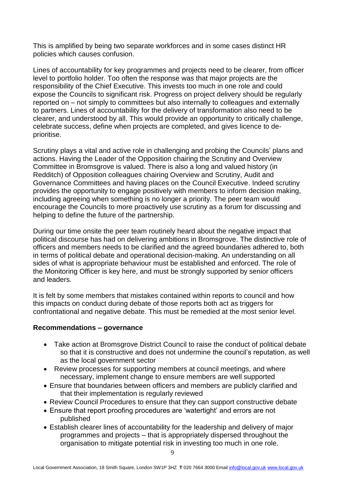This is amplified by being two separate workforces and in some cases distinct HR policies which causes confusion.

Lines of accountability for key programmes and projects need to be clearer, from officer level to portfolio holder. Too often the response was that major projects are the responsibility of the Chief Executive. This invests too much in one role and could expose the Councils to significant risk. Progress on project delivery should be regularly reported on – not simply to committees but also internally to colleagues and externally to partners. Lines of accountability for the delivery of transformation also need to be clearer, and understood by all. This would provide an opportunity to critically challenge, celebrate success, define when projects are completed, and gives licence to deprioritise.

Scrutiny plays a vital and active role in challenging and probing the Councils' plans and actions. Having the Leader of the Opposition chairing the Scrutiny and Overview Committee in Bromsgrove is valued. There is also a long and valued history (in Redditch) of Opposition colleagues chairing Overview and Scrutiny, Audit and Governance Committees and having places on the Council Executive. Indeed scrutiny provides the opportunity to engage positively with members to inform decision making, including agreeing when something is no longer a priority. The peer team would encourage the Councils to more proactively use scrutiny as a forum for discussing and helping to define the future of the partnership.

During our time onsite the peer team routinely heard about the negative impact that political discourse has had on delivering ambitions in Bromsgrove. The distinctive role of officers and members needs to be clarified and the agreed boundaries adhered to, both in terms of political debate and operational decision-making. An understanding on all sides of what is appropriate behaviour must be established and enforced. The role of the Monitoring Officer is key here, and must be strongly supported by senior officers and leaders.

It is felt by some members that mistakes contained within reports to council and how this impacts on conduct during debate of those reports both act as triggers for confrontational and negative debate. This must be remedied at the most senior level.

#### **Recommendations – governance**

- Take action at Bromsgrove District Council to raise the conduct of political debate so that it is constructive and does not undermine the council's reputation, as well as the local government sector
- Review processes for supporting members at council meetings, and where necessary, implement change to ensure members are well supported
- Ensure that boundaries between officers and members are publicly clarified and that their implementation is regularly reviewed
- Review Council Procedures to ensure that they can support constructive debate
- Ensure that report proofing procedures are 'watertight' and errors are not published
- Establish clearer lines of accountability for the leadership and delivery of major programmes and projects – that is appropriately dispersed throughout the organisation to mitigate potential risk in investing too much in one role.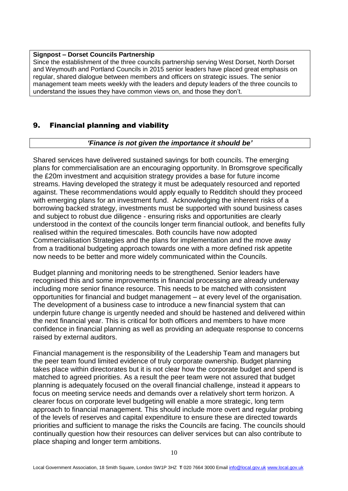#### **Signpost – Dorset Councils Partnership**

Since the establishment of the three councils partnership serving West Dorset, North Dorset and Weymouth and Portland Councils in 2015 senior leaders have placed great emphasis on regular, shared dialogue between members and officers on strategic issues. The senior management team meets weekly with the leaders and deputy leaders of the three councils to understand the issues they have common views on, and those they don't.

## 9. Financial planning and viability

#### *'Finance is not given the importance it should be'*

Shared services have delivered sustained savings for both councils. The emerging plans for commercialisation are an encouraging opportunity. In Bromsgrove specifically the £20m investment and acquisition strategy provides a base for future income streams. Having developed the strategy it must be adequately resourced and reported against. These recommendations would apply equally to Redditch should they proceed with emerging plans for an investment fund. Acknowledging the inherent risks of a borrowing backed strategy, investments must be supported with sound business cases and subject to robust due diligence - ensuring risks and opportunities are clearly understood in the context of the councils longer term financial outlook, and benefits fully realised within the required timescales. Both councils have now adopted Commercialisation Strategies and the plans for implementation and the move away from a traditional budgeting approach towards one with a more defined risk appetite now needs to be better and more widely communicated within the Councils.

Budget planning and monitoring needs to be strengthened. Senior leaders have recognised this and some improvements in financial processing are already underway including more senior finance resource. This needs to be matched with consistent opportunities for financial and budget management – at every level of the organisation. The development of a business case to introduce a new financial system that can underpin future change is urgently needed and should be hastened and delivered within the next financial year. This is critical for both officers and members to have more confidence in financial planning as well as providing an adequate response to concerns raised by external auditors.

Financial management is the responsibility of the Leadership Team and managers but the peer team found limited evidence of truly corporate ownership. Budget planning takes place within directorates but it is not clear how the corporate budget and spend is matched to agreed priorities. As a result the peer team were not assured that budget planning is adequately focused on the overall financial challenge, instead it appears to focus on meeting service needs and demands over a relatively short term horizon. A clearer focus on corporate level budgeting will enable a more strategic, long term approach to financial management. This should include more overt and regular probing of the levels of reserves and capital expenditure to ensure these are directed towards priorities and sufficient to manage the risks the Councils are facing. The councils should continually question how their resources can deliver services but can also contribute to place shaping and longer term ambitions.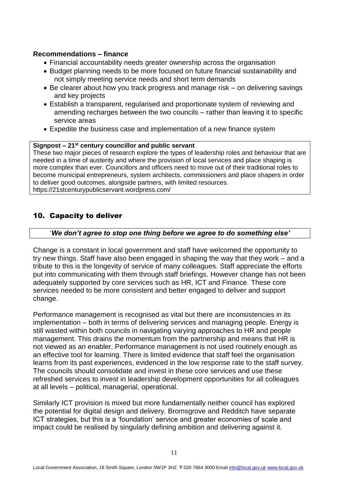#### **Recommendations – finance**

- Financial accountability needs greater ownership across the organisation
- Budget planning needs to be more focused on future financial sustainability and not simply meeting service needs and short term demands
- Be clearer about how you track progress and manage risk on delivering savings and key projects
- Establish a transparent, regularised and proportionate system of reviewing and amending recharges between the two councils – rather than leaving it to specific service areas
- Expedite the business case and implementation of a new finance system

#### **Signpost – 21st century councillor and public servant**

These two major pieces of research explore the types of leadership roles and behaviour that are needed in a time of austerity and where the provision of local services and place shaping is more complex than ever. Councillors and officers need to move out of their traditional roles to become municipal entrepreneurs, system architects, commissioners and place shapers in order to deliver good outcomes, alongside partners, with limited resources. https://21stcenturypublicservant.wordpress.com/

#### 10. Capacity to deliver

#### '*We don't agree to stop one thing before we agree to do something else'*

Change is a constant in local government and staff have welcomed the opportunity to try new things. Staff have also been engaged in shaping the way that they work – and a tribute to this is the longevity of service of many colleagues. Staff appreciate the efforts put into communicating with them through staff briefings. However change has not been adequately supported by core services such as HR, ICT and Finance. These core services needed to be more consistent and better engaged to deliver and support change.

Performance management is recognised as vital but there are inconsistencies in its implementation – both in terms of delivering services and managing people. Energy is still wasted within both councils in navigating varying approaches to HR and people management. This drains the momentum from the partnership and means that HR is not viewed as an enabler. Performance management is not used routinely enough as an effective tool for learning. There is limited evidence that staff feel the organisation learns from its past experiences, evidenced in the low response rate to the staff survey. The councils should consolidate and invest in these core services and use these refreshed services to invest in leadership development opportunities for all colleagues at all levels – political, managerial, operational.

Similarly ICT provision is mixed but more fundamentally neither council has explored the potential for digital design and delivery. Bromsgrove and Redditch have separate ICT strategies, but this is a 'foundation' service and greater economies of scale and impact could be realised by singularly defining ambition and delivering against it.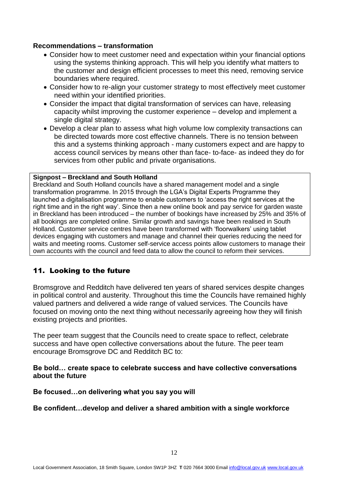#### **Recommendations – transformation**

- Consider how to meet customer need and expectation within your financial options using the systems thinking approach. This will help you identify what matters to the customer and design efficient processes to meet this need, removing service boundaries where required.
- Consider how to re-align your customer strategy to most effectively meet customer need within your identified priorities.
- Consider the impact that digital transformation of services can have, releasing capacity whilst improving the customer experience – develop and implement a single digital strategy.
- Develop a clear plan to assess what high volume low complexity transactions can be directed towards more cost effective channels. There is no tension between this and a systems thinking approach - many customers expect and are happy to access council services by means other than face- to-face- as indeed they do for services from other public and private organisations.

#### **Signpost – Breckland and South Holland**

Breckland and South Holland councils have a shared management model and a single transformation programme. In 2015 through the LGA's Digital Experts Programme they launched a digitalisation programme to enable customers to 'access the right services at the right time and in the right way'. Since then a new online book and pay service for garden waste in Breckland has been introduced – the number of bookings have increased by 25% and 35% of all bookings are completed online. Similar growth and savings have been realised in South Holland. Customer service centres have been transformed with 'floorwalkers' using tablet devices engaging with customers and manage and channel their queries reducing the need for waits and meeting rooms. Customer self-service access points allow customers to manage their own accounts with the council and feed data to allow the council to reform their services.

#### 11. Looking to the future

Bromsgrove and Redditch have delivered ten years of shared services despite changes in political control and austerity. Throughout this time the Councils have remained highly valued partners and delivered a wide range of valued services. The Councils have focused on moving onto the next thing without necessarily agreeing how they will finish existing projects and priorities.

The peer team suggest that the Councils need to create space to reflect, celebrate success and have open collective conversations about the future. The peer team encourage Bromsgrove DC and Redditch BC to:

#### **Be bold… create space to celebrate success and have collective conversations about the future**

#### **Be focused…on delivering what you say you will**

#### **Be confident…develop and deliver a shared ambition with a single workforce**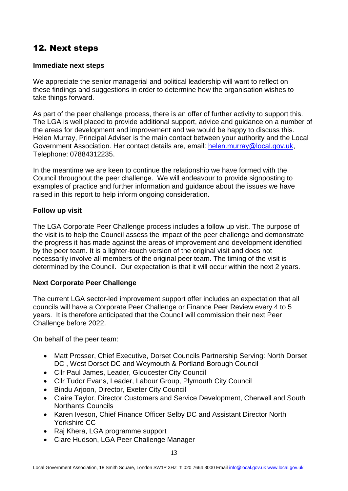# 12. Next steps

## **Immediate next steps**

We appreciate the senior managerial and political leadership will want to reflect on these findings and suggestions in order to determine how the organisation wishes to take things forward.

As part of the peer challenge process, there is an offer of further activity to support this. The LGA is well placed to provide additional support, advice and guidance on a number of the areas for development and improvement and we would be happy to discuss this. Helen Murray, Principal Adviser is the main contact between your authority and the Local Government Association. Her contact details are, email: [helen.murray@local.gov.uk,](mailto:helen.murray@local.gov.uk) Telephone: 07884312235.

In the meantime we are keen to continue the relationship we have formed with the Council throughout the peer challenge. We will endeavour to provide signposting to examples of practice and further information and guidance about the issues we have raised in this report to help inform ongoing consideration.

## **Follow up visit**

The LGA Corporate Peer Challenge process includes a follow up visit. The purpose of the visit is to help the Council assess the impact of the peer challenge and demonstrate the progress it has made against the areas of improvement and development identified by the peer team. It is a lighter-touch version of the original visit and does not necessarily involve all members of the original peer team. The timing of the visit is determined by the Council. Our expectation is that it will occur within the next 2 years.

## **Next Corporate Peer Challenge**

The current LGA sector-led improvement support offer includes an expectation that all councils will have a Corporate Peer Challenge or Finance Peer Review every 4 to 5 years. It is therefore anticipated that the Council will commission their next Peer Challenge before 2022.

On behalf of the peer team:

- Matt Prosser, Chief Executive, Dorset Councils Partnership Serving: North Dorset DC , West Dorset DC and Weymouth & Portland Borough Council
- Cllr Paul James, Leader, Gloucester City Council
- Cllr Tudor Evans, Leader, Labour Group, Plymouth City Council
- **•** Bindu Arjoon, Director, Exeter City Council
- Claire Taylor, Director Customers and Service Development, Cherwell and South Northants Councils
- Karen Iveson, Chief Finance Officer Selby DC and Assistant Director North Yorkshire CC
- Raj Khera, LGA programme support
- Clare Hudson, LGA Peer Challenge Manager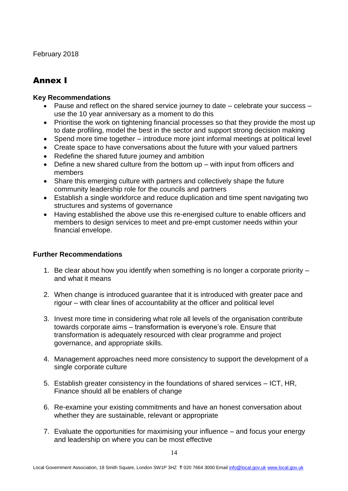February 2018

# Annex I

## **Key Recommendations**

- Pause and reflect on the shared service journey to date celebrate your success use the 10 year anniversary as a moment to do this
- Prioritise the work on tightening financial processes so that they provide the most up to date profiling, model the best in the sector and support strong decision making
- Spend more time together introduce more joint informal meetings at political level
- Create space to have conversations about the future with your valued partners
- Redefine the shared future journey and ambition
- Define a new shared culture from the bottom up with input from officers and members
- Share this emerging culture with partners and collectively shape the future community leadership role for the councils and partners
- Establish a single workforce and reduce duplication and time spent navigating two structures and systems of governance
- Having established the above use this re-energised culture to enable officers and members to design services to meet and pre-empt customer needs within your financial envelope.

#### **Further Recommendations**

- 1. Be clear about how you identify when something is no longer a corporate priority and what it means
- 2. When change is introduced guarantee that it is introduced with greater pace and rigour – with clear lines of accountability at the officer and political level
- 3. Invest more time in considering what role all levels of the organisation contribute towards corporate aims – transformation is everyone's role. Ensure that transformation is adequately resourced with clear programme and project governance, and appropriate skills.
- 4. Management approaches need more consistency to support the development of a single corporate culture
- 5. Establish greater consistency in the foundations of shared services ICT, HR, Finance should all be enablers of change
- 6. Re-examine your existing commitments and have an honest conversation about whether they are sustainable, relevant or appropriate
- 7. Evaluate the opportunities for maximising your influence and focus your energy and leadership on where you can be most effective